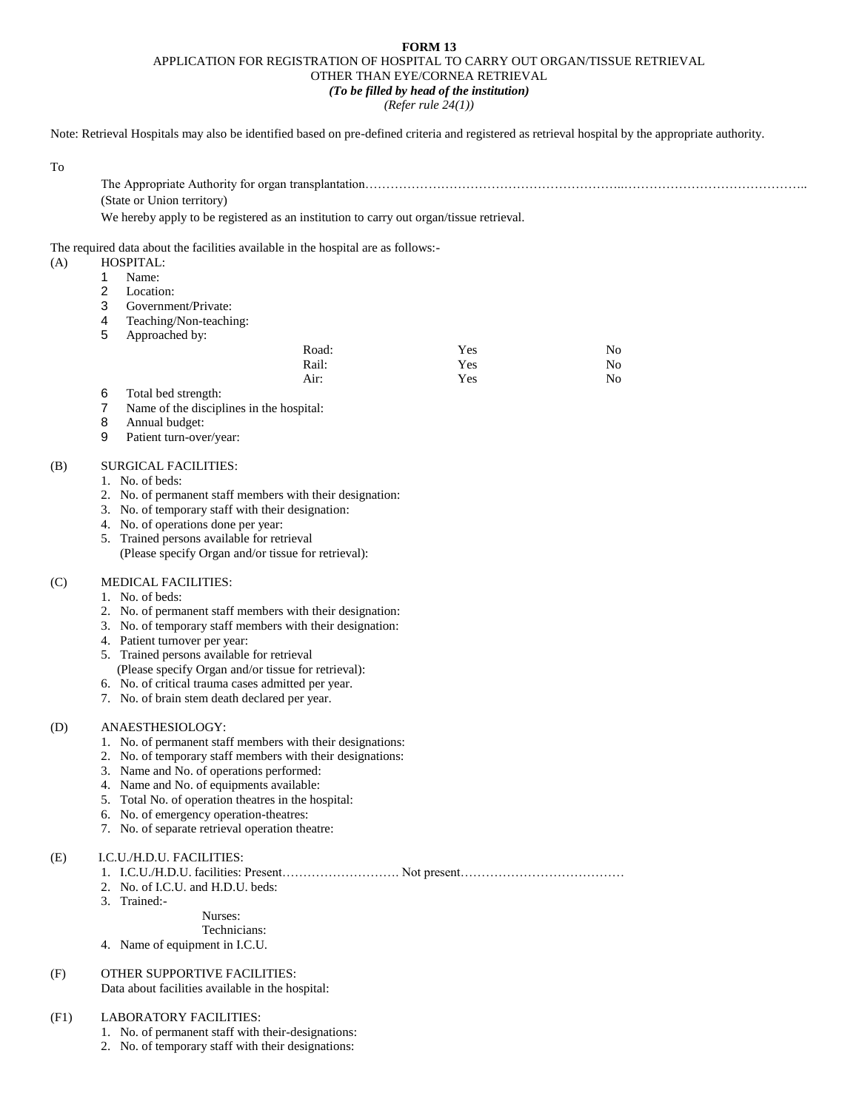### **FORM 13** APPLICATION FOR REGISTRATION OF HOSPITAL TO CARRY OUT ORGAN/TISSUE RETRIEVAL OTHER THAN EYE/CORNEA RETRIEVAL *(To be filled by head of the institution)*

*(Refer rule 24(1))*

Note: Retrieval Hospitals may also be identified based on pre-defined criteria and registered as retrieval hospital by the appropriate authority.

| ٠ |                   |
|---|-------------------|
|   | ٠<br>۰.<br>w<br>٩ |

| (State or Union territory)                                                              |
|-----------------------------------------------------------------------------------------|
| We hereby apply to be registered as an institution to carry out organ/tissue retrieval. |

The required data about the facilities available in the hospital are as follows:-

- (A) HOSPITAL:
	- 1 Name:<br>2 Location
	- Location:
	- 3 Government/Private:
	- 4 Teaching/Non-teaching:
	- 5 Approached by:

| Road: | Yes | No |
|-------|-----|----|
| Rail: | Yes | No |
| Air:  | Yes | No |

- 6 Total bed strength:
- 7 Name of the disciplines in the hospital:
- 8 Annual budget:
- 9 Patient turn-over/year:

# (B) SURGICAL FACILITIES:

- 1. No. of beds:
- 2. No. of permanent staff members with their designation:
- 3. No. of temporary staff with their designation:
- 4. No. of operations done per year:
- 5. Trained persons available for retrieval
- (Please specify Organ and/or tissue for retrieval):

# (C) MEDICAL FACILITIES:

- 1. No. of beds:
- 2. No. of permanent staff members with their designation:
- 3. No. of temporary staff members with their designation:
- 4. Patient turnover per year:
- 5. Trained persons available for retrieval
- (Please specify Organ and/or tissue for retrieval):
- 6. No. of critical trauma cases admitted per year.
- 7. No. of brain stem death declared per year.

### (D) ANAESTHESIOLOGY:

- 1. No. of permanent staff members with their designations:
- 2. No. of temporary staff members with their designations:
- 3. Name and No. of operations performed:
- 4. Name and No. of equipments available:
- 5. Total No. of operation theatres in the hospital:
- 6. No. of emergency operation-theatres:
- 7. No. of separate retrieval operation theatre:

### (E) I.C.U./H.D.U. FACILITIES:

- 1. I.C.U./H.D.U. facilities: Present………………………. Not present…………………………………
- 2. No. of I.C.U. and H.D.U. beds:
- 3. Trained:-

Nurses:

Technicians:

4. Name of equipment in I.C.U.

## (F) OTHER SUPPORTIVE FACILITIES:

Data about facilities available in the hospital:

### (F1) LABORATORY FACILITIES:

- 1. No. of permanent staff with their-designations:
- 2. No. of temporary staff with their designations: